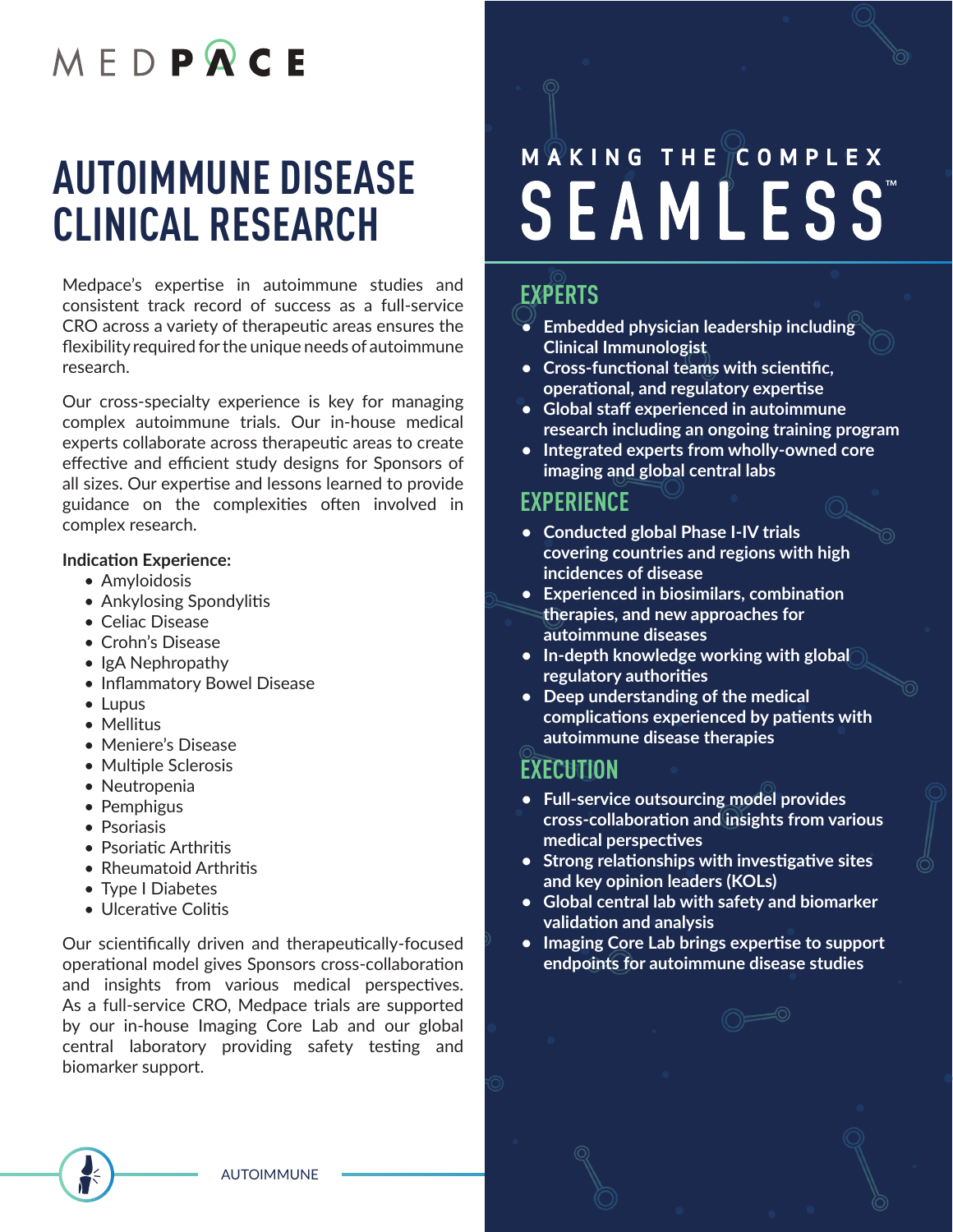## MFDPQCE

## **AUTOIMMUNE DISEASE CLINICAL RESEARCH**

Medpace's expertise in autoimmune studies and consistent track record of success as a full-service CRO across a variety of therapeutic areas ensures the flexibility required for the unique needs of autoimmune research.

Our cross-specialty experience is key for managing complex autoimmune trials. Our in-house medical experts collaborate across therapeutic areas to create effective and efficient study designs for Sponsors of all sizes. Our expertise and lessons learned to provide guidance on the complexities often involved in complex research.

#### **Indication Experience:**

- Amyloidosis
- Ankylosing Spondylitis
- Celiac Disease
- Crohn's Disease
- IgA Nephropathy
- Inflammatory Bowel Disease
- Lupus
- Mellitus
- Meniere's Disease
- Multiple Sclerosis
- Neutropenia
- Pemphigus
- Psoriasis
- Psoriatic Arthritis
- Rheumatoid Arthritis
- Type I Diabetes
- Ulcerative Colitis

Our scientifically driven and therapeutically-focused operational model gives Sponsors cross-collaboration and insights from various medical perspectives. As a full-service CRO, Medpace trials are supported by our in-house Imaging Core Lab and our global central laboratory providing safety testing and biomarker support.

# MAKING THE COMPLEX **SEAMLESS**

### **EXPERTS**

- **• Embedded physician leadership including Clinical Immunologist**
- **• Cross-functional teams with scientific, operational, and regulatory expertise**
- **• Global staff experienced in autoimmune research including an ongoing training program**
- **• Integrated experts from wholly-owned core imaging and global central labs**

#### **EXPERIENCE**

- **• Conducted global Phase I-IV trials covering countries and regions with high incidences of disease**
- **• Experienced in biosimilars, combination therapies, and new approaches for autoimmune diseases**
- **• In-depth knowledge working with global regulatory authorities**
- **• Deep understanding of the medical complications experienced by patients with autoimmune disease therapies**

#### **EXECUTION**

- **• Full-service outsourcing model provides cross-collaboration and insights from various medical perspectives**
- **• Strong relationships with investigative sites and key opinion leaders (KOLs)**
- **• Global central lab with safety and biomarker validation and analysis**
- **• Imaging Core Lab brings expertise to support endpoints for autoimmune disease studies**